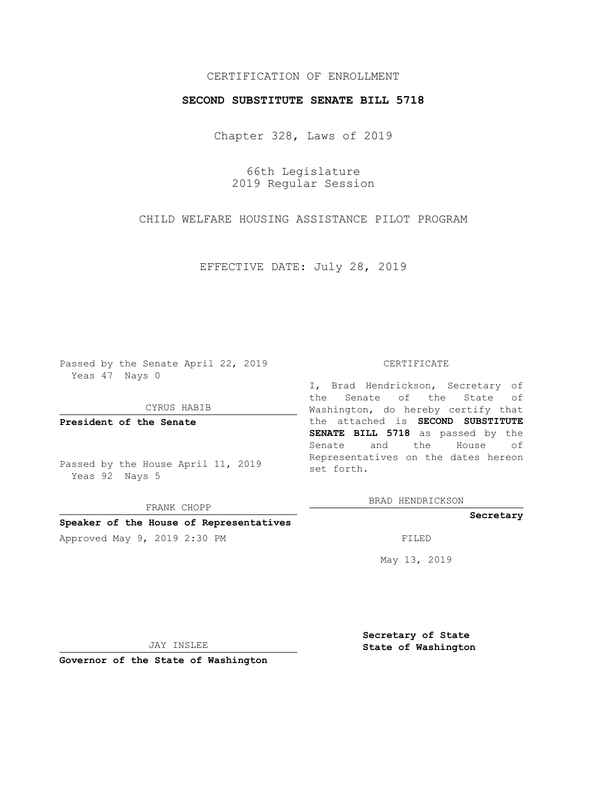## CERTIFICATION OF ENROLLMENT

## **SECOND SUBSTITUTE SENATE BILL 5718**

Chapter 328, Laws of 2019

66th Legislature 2019 Regular Session

CHILD WELFARE HOUSING ASSISTANCE PILOT PROGRAM

EFFECTIVE DATE: July 28, 2019

Passed by the Senate April 22, 2019 Yeas 47 Nays 0

CYRUS HABIB

**President of the Senate**

Passed by the House April 11, 2019 Yeas 92 Nays 5

FRANK CHOPP

# **Speaker of the House of Representatives**

Approved May 9, 2019 2:30 PM

#### CERTIFICATE

I, Brad Hendrickson, Secretary of the Senate of the State of Washington, do hereby certify that the attached is **SECOND SUBSTITUTE SENATE BILL 5718** as passed by the Senate and the House of Representatives on the dates hereon set forth.

BRAD HENDRICKSON

#### **Secretary**

May 13, 2019

JAY INSLEE

**Governor of the State of Washington**

**Secretary of State State of Washington**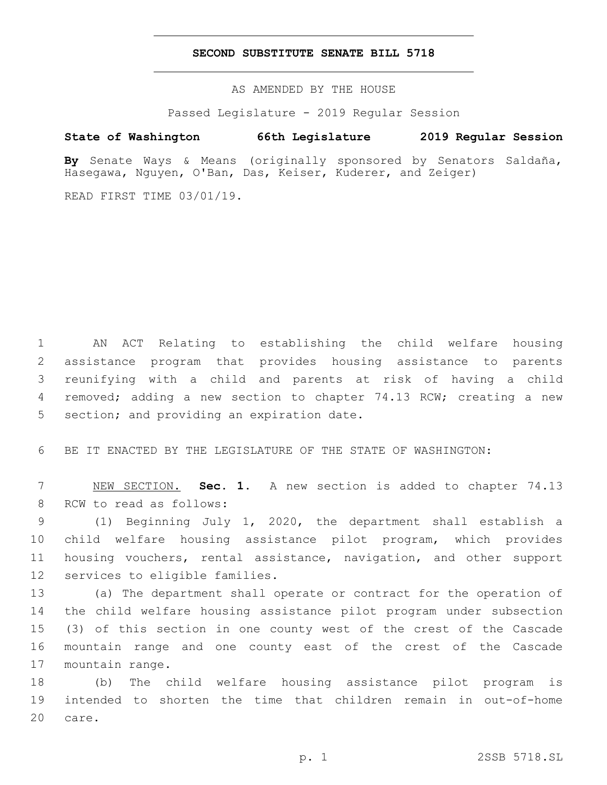## **SECOND SUBSTITUTE SENATE BILL 5718**

AS AMENDED BY THE HOUSE

Passed Legislature - 2019 Regular Session

## **State of Washington 66th Legislature 2019 Regular Session**

**By** Senate Ways & Means (originally sponsored by Senators Saldaña, Hasegawa, Nguyen, O'Ban, Das, Keiser, Kuderer, and Zeiger)

READ FIRST TIME 03/01/19.

 AN ACT Relating to establishing the child welfare housing assistance program that provides housing assistance to parents reunifying with a child and parents at risk of having a child removed; adding a new section to chapter 74.13 RCW; creating a new 5 section; and providing an expiration date.

6 BE IT ENACTED BY THE LEGISLATURE OF THE STATE OF WASHINGTON:

7 NEW SECTION. **Sec. 1.** A new section is added to chapter 74.13 8 RCW to read as follows:

 (1) Beginning July 1, 2020, the department shall establish a child welfare housing assistance pilot program, which provides housing vouchers, rental assistance, navigation, and other support 12 services to eligible families.

 (a) The department shall operate or contract for the operation of the child welfare housing assistance pilot program under subsection (3) of this section in one county west of the crest of the Cascade mountain range and one county east of the crest of the Cascade 17 mountain range.

18 (b) The child welfare housing assistance pilot program is 19 intended to shorten the time that children remain in out-of-home 20 care.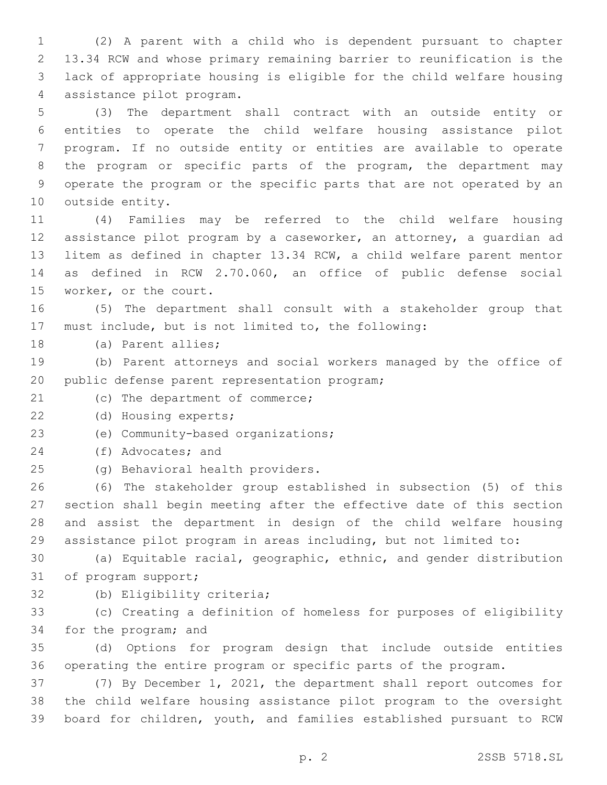(2) A parent with a child who is dependent pursuant to chapter 13.34 RCW and whose primary remaining barrier to reunification is the lack of appropriate housing is eligible for the child welfare housing 4 assistance pilot program.

 (3) The department shall contract with an outside entity or entities to operate the child welfare housing assistance pilot program. If no outside entity or entities are available to operate the program or specific parts of the program, the department may operate the program or the specific parts that are not operated by an 10 outside entity.

 (4) Families may be referred to the child welfare housing assistance pilot program by a caseworker, an attorney, a guardian ad litem as defined in chapter 13.34 RCW, a child welfare parent mentor as defined in RCW 2.70.060, an office of public defense social 15 worker, or the court.

 (5) The department shall consult with a stakeholder group that must include, but is not limited to, the following:

18 (a) Parent allies;

 (b) Parent attorneys and social workers managed by the office of 20 public defense parent representation program;

21 (c) The department of commerce;

22 (d) Housing experts;

23 (e) Community-based organizations;

24 (f) Advocates; and

(g) Behavioral health providers.25

 (6) The stakeholder group established in subsection (5) of this section shall begin meeting after the effective date of this section and assist the department in design of the child welfare housing assistance pilot program in areas including, but not limited to:

 (a) Equitable racial, geographic, ethnic, and gender distribution 31 of program support;

32 (b) Eligibility criteria;

 (c) Creating a definition of homeless for purposes of eligibility 34 for the program; and

 (d) Options for program design that include outside entities operating the entire program or specific parts of the program.

 (7) By December 1, 2021, the department shall report outcomes for the child welfare housing assistance pilot program to the oversight board for children, youth, and families established pursuant to RCW